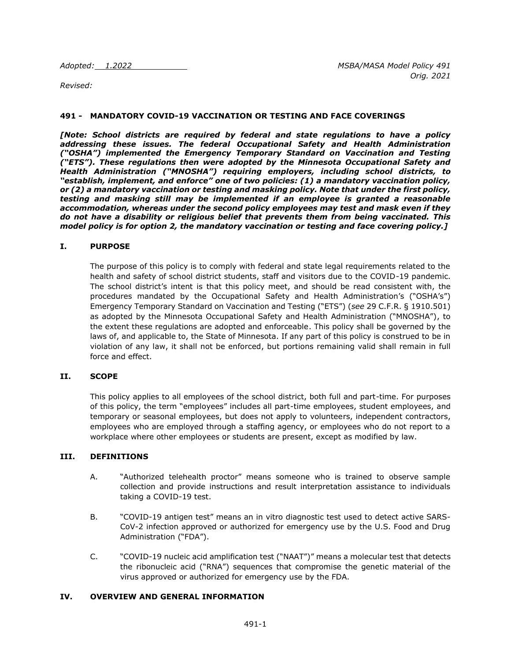*Revised:* 

#### **491 - MANDATORY COVID-19 VACCINATION OR TESTING AND FACE COVERINGS**

*[Note: School districts are required by federal and state regulations to have a policy addressing these issues. The federal Occupational Safety and Health Administration ("OSHA") implemented the Emergency Temporary Standard on Vaccination and Testing ("ETS"). These regulations then were adopted by the Minnesota Occupational Safety and Health Administration ("MNOSHA") requiring employers, including school districts, to "establish, implement, and enforce" one of two policies: (1) a mandatory vaccination policy, or (2) a mandatory vaccination or testing and masking policy. Note that under the first policy, testing and masking still may be implemented if an employee is granted a reasonable accommodation, whereas under the second policy employees may test and mask even if they do not have a disability or religious belief that prevents them from being vaccinated. This model policy is for option 2, the mandatory vaccination or testing and face covering policy.]*

#### **I. PURPOSE**

The purpose of this policy is to comply with federal and state legal requirements related to the health and safety of school district students, staff and visitors due to the COVID-19 pandemic. The school district's intent is that this policy meet, and should be read consistent with, the procedures mandated by the Occupational Safety and Health Administration's ("OSHA's") Emergency Temporary Standard on Vaccination and Testing ("ETS") (*see* 29 C.F.R. § 1910.501) as adopted by the Minnesota Occupational Safety and Health Administration ("MNOSHA"), to the extent these regulations are adopted and enforceable. This policy shall be governed by the laws of, and applicable to, the State of Minnesota. If any part of this policy is construed to be in violation of any law, it shall not be enforced, but portions remaining valid shall remain in full force and effect.

## **II. SCOPE**

This policy applies to all employees of the school district, both full and part-time. For purposes of this policy, the term "employees" includes all part-time employees, student employees, and temporary or seasonal employees, but does not apply to volunteers, independent contractors, employees who are employed through a staffing agency, or employees who do not report to a workplace where other employees or students are present, except as modified by law.

### **III. DEFINITIONS**

- A. "Authorized telehealth proctor" means someone who is trained to observe sample collection and provide instructions and result interpretation assistance to individuals taking a COVID-19 test.
- B. "COVID-19 antigen test" means an in vitro diagnostic test used to detect active SARS-CoV-2 infection approved or authorized for emergency use by the U.S. Food and Drug Administration ("FDA").
- C. "COVID-19 nucleic acid amplification test ("NAAT")" means a molecular test that detects the ribonucleic acid ("RNA") sequences that compromise the genetic material of the virus approved or authorized for emergency use by the FDA.

### **IV. OVERVIEW AND GENERAL INFORMATION**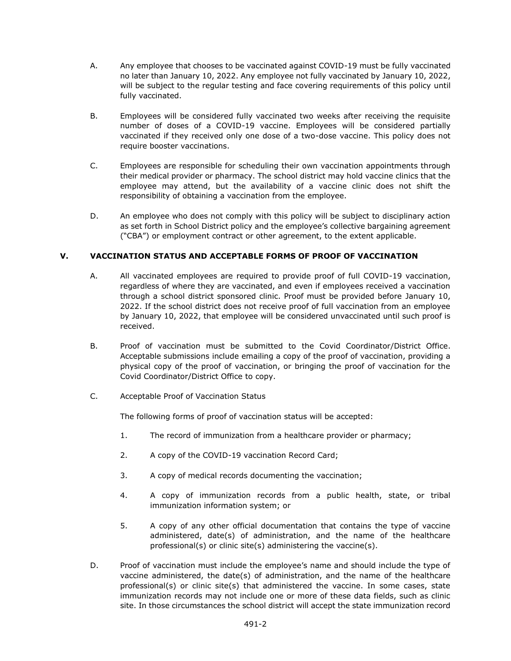- A. Any employee that chooses to be vaccinated against COVID-19 must be fully vaccinated no later than January 10, 2022. Any employee not fully vaccinated by January 10, 2022, will be subject to the regular testing and face covering requirements of this policy until fully vaccinated.
- B. Employees will be considered fully vaccinated two weeks after receiving the requisite number of doses of a COVID-19 vaccine. Employees will be considered partially vaccinated if they received only one dose of a two-dose vaccine. This policy does not require booster vaccinations.
- C. Employees are responsible for scheduling their own vaccination appointments through their medical provider or pharmacy. The school district may hold vaccine clinics that the employee may attend, but the availability of a vaccine clinic does not shift the responsibility of obtaining a vaccination from the employee.
- D. An employee who does not comply with this policy will be subject to disciplinary action as set forth in School District policy and the employee's collective bargaining agreement ("CBA") or employment contract or other agreement, to the extent applicable.

# **V. VACCINATION STATUS AND ACCEPTABLE FORMS OF PROOF OF VACCINATION**

- A. All vaccinated employees are required to provide proof of full COVID-19 vaccination, regardless of where they are vaccinated, and even if employees received a vaccination through a school district sponsored clinic. Proof must be provided before January 10, 2022. If the school district does not receive proof of full vaccination from an employee by January 10, 2022, that employee will be considered unvaccinated until such proof is received.
- B. Proof of vaccination must be submitted to the Covid Coordinator/District Office. Acceptable submissions include emailing a copy of the proof of vaccination, providing a physical copy of the proof of vaccination, or bringing the proof of vaccination for the Covid Coordinator/District Office to copy.
- C. Acceptable Proof of Vaccination Status

The following forms of proof of vaccination status will be accepted:

- 1. The record of immunization from a healthcare provider or pharmacy;
- 2. A copy of the COVID-19 vaccination Record Card;
- 3. A copy of medical records documenting the vaccination;
- 4. A copy of immunization records from a public health, state, or tribal immunization information system; or
- 5. A copy of any other official documentation that contains the type of vaccine administered, date(s) of administration, and the name of the healthcare professional(s) or clinic site(s) administering the vaccine(s).
- D. Proof of vaccination must include the employee's name and should include the type of vaccine administered, the date(s) of administration, and the name of the healthcare professional(s) or clinic site(s) that administered the vaccine. In some cases, state immunization records may not include one or more of these data fields, such as clinic site. In those circumstances the school district will accept the state immunization record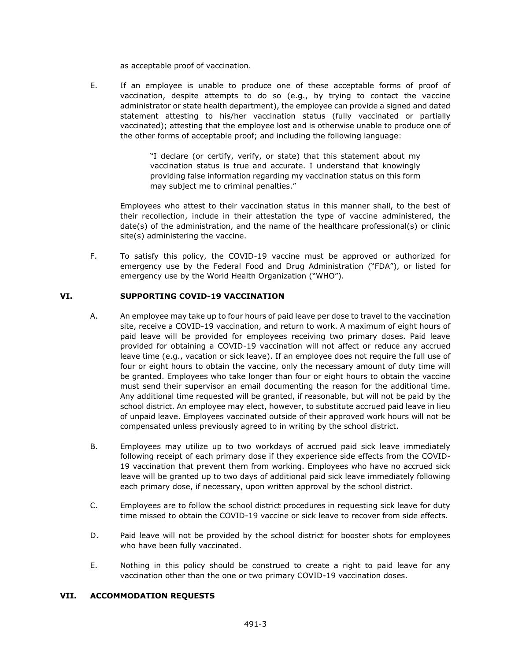as acceptable proof of vaccination.

E. If an employee is unable to produce one of these acceptable forms of proof of vaccination, despite attempts to do so (e.g., by trying to contact the vaccine administrator or state health department), the employee can provide a signed and dated statement attesting to his/her vaccination status (fully vaccinated or partially vaccinated); attesting that the employee lost and is otherwise unable to produce one of the other forms of acceptable proof; and including the following language:

> "I declare (or certify, verify, or state) that this statement about my vaccination status is true and accurate. I understand that knowingly providing false information regarding my vaccination status on this form may subject me to criminal penalties."

Employees who attest to their vaccination status in this manner shall, to the best of their recollection, include in their attestation the type of vaccine administered, the date(s) of the administration, and the name of the healthcare professional(s) or clinic site(s) administering the vaccine.

F. To satisfy this policy, the COVID-19 vaccine must be approved or authorized for emergency use by the Federal Food and Drug Administration ("FDA"), or listed for emergency use by the World Health Organization ("WHO").

## **VI. SUPPORTING COVID-19 VACCINATION**

- A. An employee may take up to four hours of paid leave per dose to travel to the vaccination site, receive a COVID-19 vaccination, and return to work. A maximum of eight hours of paid leave will be provided for employees receiving two primary doses. Paid leave provided for obtaining a COVID-19 vaccination will not affect or reduce any accrued leave time (e.g., vacation or sick leave). If an employee does not require the full use of four or eight hours to obtain the vaccine, only the necessary amount of duty time will be granted. Employees who take longer than four or eight hours to obtain the vaccine must send their supervisor an email documenting the reason for the additional time. Any additional time requested will be granted, if reasonable, but will not be paid by the school district. An employee may elect, however, to substitute accrued paid leave in lieu of unpaid leave. Employees vaccinated outside of their approved work hours will not be compensated unless previously agreed to in writing by the school district.
- B. Employees may utilize up to two workdays of accrued paid sick leave immediately following receipt of each primary dose if they experience side effects from the COVID-19 vaccination that prevent them from working. Employees who have no accrued sick leave will be granted up to two days of additional paid sick leave immediately following each primary dose, if necessary, upon written approval by the school district.
- C. Employees are to follow the school district procedures in requesting sick leave for duty time missed to obtain the COVID-19 vaccine or sick leave to recover from side effects.
- D. Paid leave will not be provided by the school district for booster shots for employees who have been fully vaccinated.
- E. Nothing in this policy should be construed to create a right to paid leave for any vaccination other than the one or two primary COVID-19 vaccination doses.

### **VII. ACCOMMODATION REQUESTS**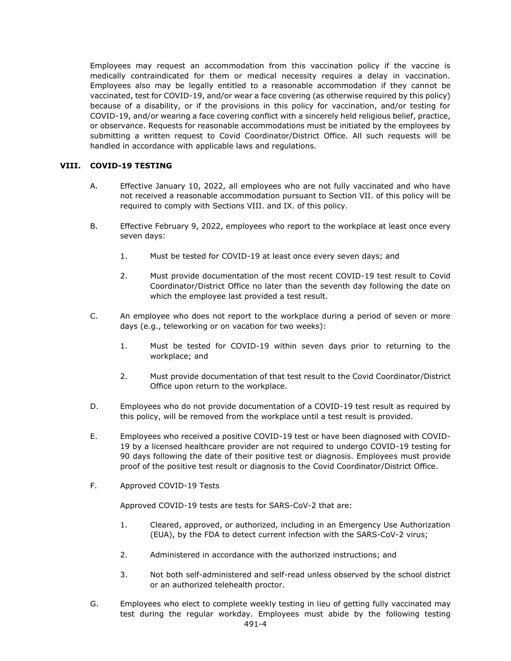Employees may request an accommodation from this vaccination policy if the vaccine is medically contraindicated for them or medical necessity requires a delay in vaccination. Employees also may be legally entitled to a reasonable accommodation if they cannot be vaccinated, test for COVID-19, and/or wear a face covering (as otherwise required by this policy) because of a disability, or if the provisions in this policy for vaccination, and/or testing for COVID-19, and/or wearing a face covering conflict with a sincerely held religious belief, practice, or observance. Requests for reasonable accommodations must be initiated by the employees by submitting a written request to Covid Coordinator/District Office. All such requests will be handled in accordance with applicable laws and regulations.

## **VIII. COVID-19 TESTING**

- A. Effective January 10, 2022, all employees who are not fully vaccinated and who have not received a reasonable accommodation pursuant to Section VII. of this policy will be required to comply with Sections VIII. and IX. of this policy.
- B. Effective February 9, 2022, employees who report to the workplace at least once every seven days:
	- 1. Must be tested for COVID-19 at least once every seven days; and
	- 2. Must provide documentation of the most recent COVID-19 test result to Covid Coordinator/District Office no later than the seventh day following the date on which the employee last provided a test result.
- C. An employee who does not report to the workplace during a period of seven or more days (e.g., teleworking or on vacation for two weeks):
	- 1. Must be tested for COVID-19 within seven days prior to returning to the workplace; and
	- 2. Must provide documentation of that test result to the Covid Coordinator/District Office upon return to the workplace.
- D. Employees who do not provide documentation of a COVID-19 test result as required by this policy, will be removed from the workplace until a test result is provided.
- E. Employees who received a positive COVID-19 test or have been diagnosed with COVID-19 by a licensed healthcare provider are not required to undergo COVID-19 testing for 90 days following the date of their positive test or diagnosis. Employees must provide proof of the positive test result or diagnosis to the Covid Coordinator/District Office.
- F. Approved COVID-19 Tests

Approved COVID-19 tests are tests for SARS-CoV-2 that are:

- 1. Cleared, approved, or authorized, including in an Emergency Use Authorization (EUA), by the FDA to detect current infection with the SARS-CoV-2 virus;
- 2. Administered in accordance with the authorized instructions; and
- 3. Not both self-administered and self-read unless observed by the school district or an authorized telehealth proctor.
- G. Employees who elect to complete weekly testing in lieu of getting fully vaccinated may test during the regular workday. Employees must abide by the following testing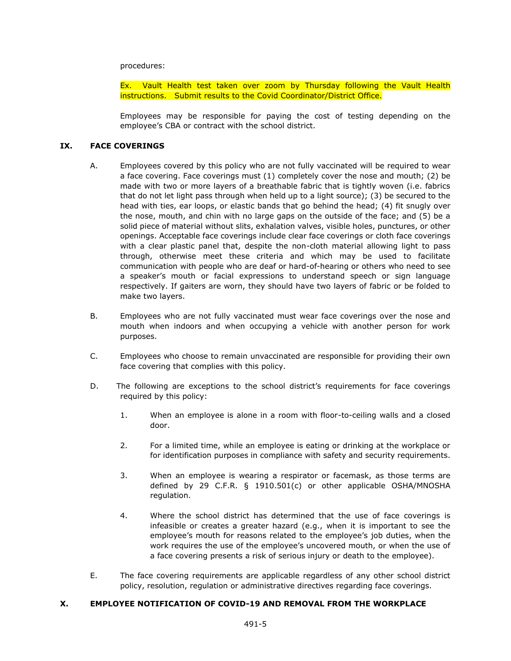procedures:

Ex. Vault Health test taken over zoom by Thursday following the Vault Health instructions. Submit results to the Covid Coordinator/District Office.

Employees may be responsible for paying the cost of testing depending on the employee's CBA or contract with the school district.

## **IX. FACE COVERINGS**

- A. Employees covered by this policy who are not fully vaccinated will be required to wear a face covering. Face coverings must (1) completely cover the nose and mouth; (2) be made with two or more layers of a breathable fabric that is tightly woven (i.e. fabrics that do not let light pass through when held up to a light source); (3) be secured to the head with ties, ear loops, or elastic bands that go behind the head; (4) fit snugly over the nose, mouth, and chin with no large gaps on the outside of the face; and (5) be a solid piece of material without slits, exhalation valves, visible holes, punctures, or other openings. Acceptable face coverings include clear face coverings or cloth face coverings with a clear plastic panel that, despite the non-cloth material allowing light to pass through, otherwise meet these criteria and which may be used to facilitate communication with people who are deaf or hard-of-hearing or others who need to see a speaker's mouth or facial expressions to understand speech or sign language respectively. If gaiters are worn, they should have two layers of fabric or be folded to make two layers.
- B. Employees who are not fully vaccinated must wear face coverings over the nose and mouth when indoors and when occupying a vehicle with another person for work purposes.
- C. Employees who choose to remain unvaccinated are responsible for providing their own face covering that complies with this policy.
- D. The following are exceptions to the school district's requirements for face coverings required by this policy:
	- 1. When an employee is alone in a room with floor-to-ceiling walls and a closed door.
	- 2. For a limited time, while an employee is eating or drinking at the workplace or for identification purposes in compliance with safety and security requirements.
	- 3. When an employee is wearing a respirator or facemask, as those terms are defined by 29 C.F.R. § 1910.501(c) or other applicable OSHA/MNOSHA regulation.
	- 4. Where the school district has determined that the use of face coverings is infeasible or creates a greater hazard (e.g., when it is important to see the employee's mouth for reasons related to the employee's job duties, when the work requires the use of the employee's uncovered mouth, or when the use of a face covering presents a risk of serious injury or death to the employee).
- E. The face covering requirements are applicable regardless of any other school district policy, resolution, regulation or administrative directives regarding face coverings.

### **X. EMPLOYEE NOTIFICATION OF COVID-19 AND REMOVAL FROM THE WORKPLACE**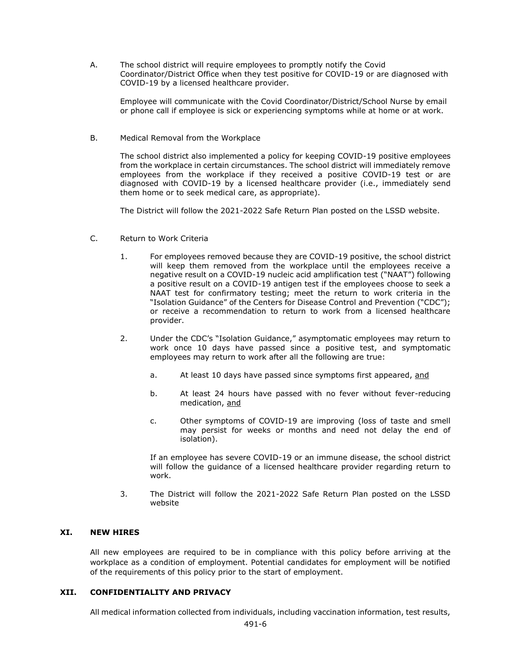A. The school district will require employees to promptly notify the Covid Coordinator/District Office when they test positive for COVID-19 or are diagnosed with COVID-19 by a licensed healthcare provider.

Employee will communicate with the Covid Coordinator/District/School Nurse by email or phone call if employee is sick or experiencing symptoms while at home or at work.

B. Medical Removal from the Workplace

The school district also implemented a policy for keeping COVID-19 positive employees from the workplace in certain circumstances. The school district will immediately remove employees from the workplace if they received a positive COVID-19 test or are diagnosed with COVID-19 by a licensed healthcare provider (i.e., immediately send them home or to seek medical care, as appropriate).

The District will follow the 2021-2022 Safe Return Plan posted on the LSSD website.

- C. Return to Work Criteria
	- 1. For employees removed because they are COVID-19 positive, the school district will keep them removed from the workplace until the employees receive a negative result on a COVID-19 nucleic acid amplification test ("NAAT") following a positive result on a COVID-19 antigen test if the employees choose to seek a NAAT test for confirmatory testing; meet the return to work criteria in the "Isolation Guidance" of the Centers for Disease Control and Prevention ("CDC"); or receive a recommendation to return to work from a licensed healthcare provider.
	- 2. Under the CDC's "Isolation Guidance," asymptomatic employees may return to work once 10 days have passed since a positive test, and symptomatic employees may return to work after all the following are true:
		- a. At least 10 days have passed since symptoms first appeared, and
		- b. At least 24 hours have passed with no fever without fever-reducing medication, and
		- c. Other symptoms of COVID-19 are improving (loss of taste and smell may persist for weeks or months and need not delay the end of isolation).

If an employee has severe COVID-19 or an immune disease, the school district will follow the guidance of a licensed healthcare provider regarding return to work.

3. The District will follow the 2021-2022 Safe Return Plan posted on the LSSD website

## **XI. NEW HIRES**

All new employees are required to be in compliance with this policy before arriving at the workplace as a condition of employment. Potential candidates for employment will be notified of the requirements of this policy prior to the start of employment.

#### **XII. CONFIDENTIALITY AND PRIVACY**

All medical information collected from individuals, including vaccination information, test results,